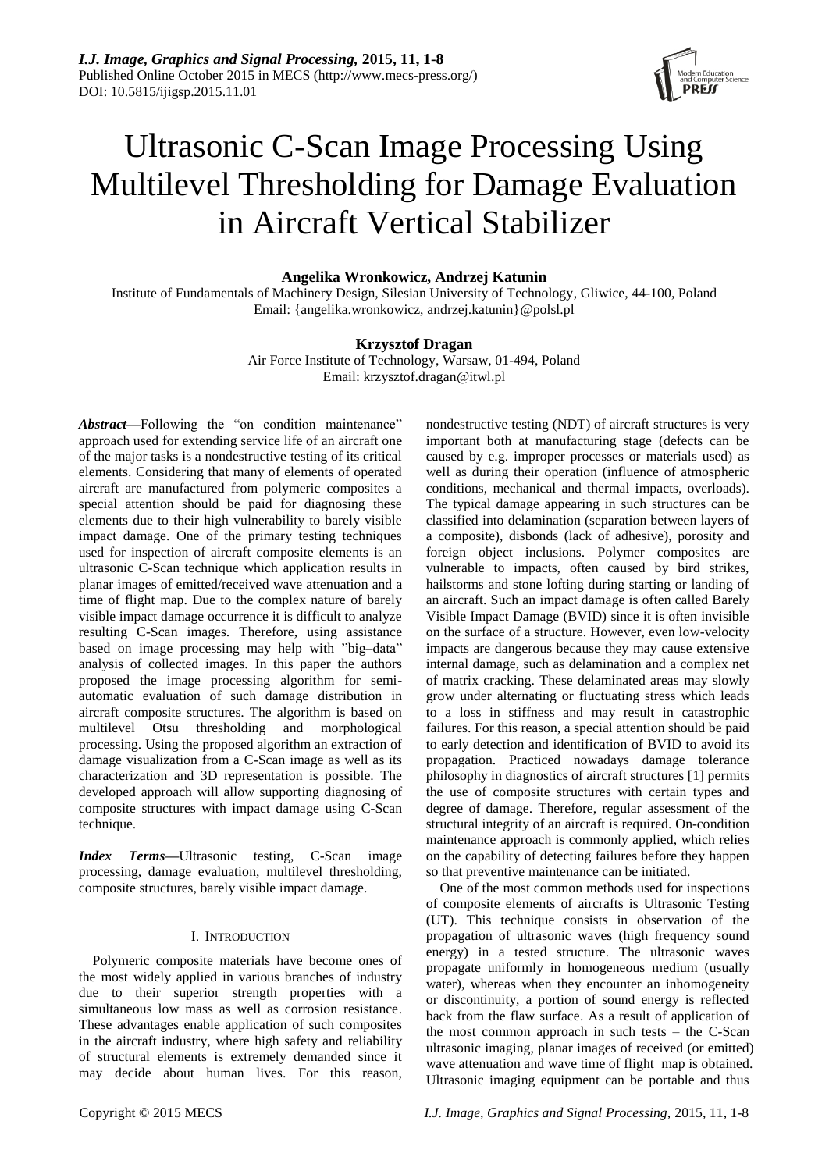

# Ultrasonic C-Scan Image Processing Using Multilevel Thresholding for Damage Evaluation in Aircraft Vertical Stabilizer

# **Angelika Wronkowicz, Andrzej Katunin**

Institute of Fundamentals of Machinery Design, Silesian University of Technology, Gliwice, 44-100, Poland Email: {angelika.wronkowicz, andrzej.katunin}@polsl.pl

## **Krzysztof Dragan**

Air Force Institute of Technology, Warsaw, 01-494, Poland Email: krzysztof.dragan@itwl.pl

Abstract—Following the "on condition maintenance" approach used for extending service life of an aircraft one of the major tasks is a nondestructive testing of its critical elements. Considering that many of elements of operated aircraft are manufactured from polymeric composites a special attention should be paid for diagnosing these elements due to their high vulnerability to barely visible impact damage. One of the primary testing techniques used for inspection of aircraft composite elements is an ultrasonic C-Scan technique which application results in planar images of emitted/received wave attenuation and a time of flight map. Due to the complex nature of barely visible impact damage occurrence it is difficult to analyze resulting C-Scan images. Therefore, using assistance based on image processing may help with "big–data" analysis of collected images. In this paper the authors proposed the image processing algorithm for semiautomatic evaluation of such damage distribution in aircraft composite structures. The algorithm is based on multilevel Otsu thresholding and morphological processing. Using the proposed algorithm an extraction of damage visualization from a C-Scan image as well as its characterization and 3D representation is possible. The developed approach will allow supporting diagnosing of composite structures with impact damage using C-Scan technique.

*Index Terms***—**Ultrasonic testing, C-Scan image processing, damage evaluation, multilevel thresholding, composite structures, barely visible impact damage.

## I. INTRODUCTION

Polymeric composite materials have become ones of the most widely applied in various branches of industry due to their superior strength properties with a simultaneous low mass as well as corrosion resistance. These advantages enable application of such composites in the aircraft industry, where high safety and reliability of structural elements is extremely demanded since it may decide about human lives. For this reason, nondestructive testing (NDT) of aircraft structures is very important both at manufacturing stage (defects can be caused by e.g. improper processes or materials used) as well as during their operation (influence of atmospheric conditions, mechanical and thermal impacts, overloads). The typical damage appearing in such structures can be classified into delamination (separation between layers of a composite), disbonds (lack of adhesive), porosity and foreign object inclusions. Polymer composites are vulnerable to impacts, often caused by bird strikes, hailstorms and stone lofting during starting or landing of an aircraft. Such an impact damage is often called Barely Visible Impact Damage (BVID) since it is often invisible on the surface of a structure. However, even low-velocity impacts are dangerous because they may cause extensive internal damage, such as delamination and a complex net of matrix cracking. These delaminated areas may slowly grow under alternating or fluctuating stress which leads to a loss in stiffness and may result in catastrophic failures. For this reason, a special attention should be paid to early detection and identification of BVID to avoid its propagation. Practiced nowadays damage tolerance philosophy in diagnostics of aircraft structures [1] permits the use of composite structures with certain types and degree of damage. Therefore, regular assessment of the structural integrity of an aircraft is required. On-condition maintenance approach is commonly applied, which relies on the capability of detecting failures before they happen so that preventive maintenance can be initiated.

One of the most common methods used for inspections of composite elements of aircrafts is Ultrasonic Testing (UT). This technique consists in observation of the propagation of ultrasonic waves (high frequency sound energy) in a tested structure. The ultrasonic waves propagate uniformly in homogeneous medium (usually water), whereas when they encounter an inhomogeneity or discontinuity, a portion of sound energy is reflected back from the flaw surface. As a result of application of the most common approach in such tests – the C-Scan ultrasonic imaging, planar images of received (or emitted) wave attenuation and wave time of flight map is obtained. Ultrasonic imaging equipment can be portable and thus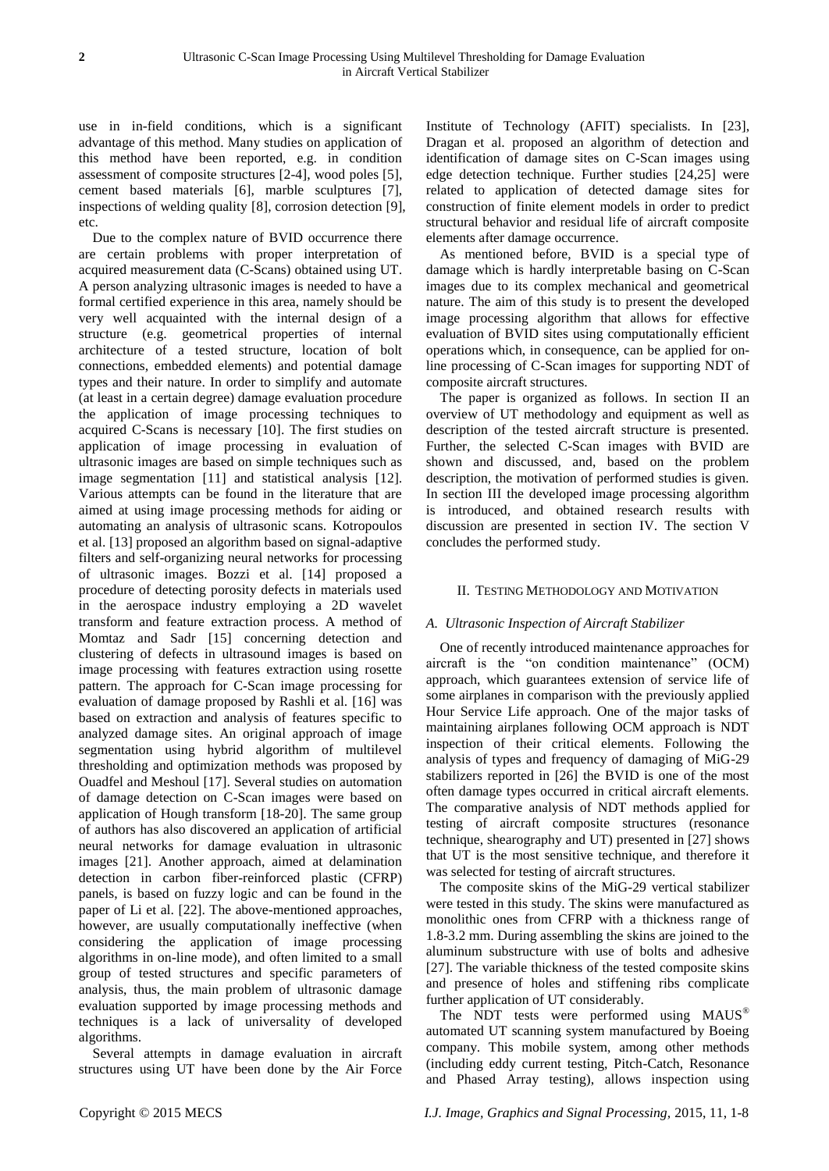use in in-field conditions, which is a significant advantage of this method. Many studies on application of this method have been reported, e.g. in condition assessment of composite structures [2-4], wood poles [5], cement based materials [6], marble sculptures [7], inspections of welding quality [8], corrosion detection [9], etc.

Due to the complex nature of BVID occurrence there are certain problems with proper interpretation of acquired measurement data (C-Scans) obtained using UT. A person analyzing ultrasonic images is needed to have a formal certified experience in this area, namely should be very well acquainted with the internal design of a structure (e.g. geometrical properties of internal architecture of a tested structure, location of bolt connections, embedded elements) and potential damage types and their nature. In order to simplify and automate (at least in a certain degree) damage evaluation procedure the application of image processing techniques to acquired C-Scans is necessary [10]. The first studies on application of image processing in evaluation of ultrasonic images are based on simple techniques such as image segmentation [11] and statistical analysis [12]. Various attempts can be found in the literature that are aimed at using image processing methods for aiding or automating an analysis of ultrasonic scans. Kotropoulos et al. [13] proposed an algorithm based on signal-adaptive filters and self-organizing neural networks for processing of ultrasonic images. Bozzi et al. [14] proposed a procedure of detecting porosity defects in materials used in the aerospace industry employing a 2D wavelet transform and feature extraction process. A method of Momtaz and Sadr [15] concerning detection and clustering of defects in ultrasound images is based on image processing with features extraction using rosette pattern. The approach for C-Scan image processing for evaluation of damage proposed by Rashli et al. [16] was based on extraction and analysis of features specific to analyzed damage sites. An original approach of image segmentation using hybrid algorithm of multilevel thresholding and optimization methods was proposed by Ouadfel and Meshoul [17]. Several studies on automation of damage detection on C-Scan images were based on application of Hough transform [18-20]. The same group of authors has also discovered an application of artificial neural networks for damage evaluation in ultrasonic images [21]. Another approach, aimed at delamination detection in carbon fiber-reinforced plastic (CFRP) panels, is based on fuzzy logic and can be found in the paper of Li et al. [22]. The above-mentioned approaches, however, are usually computationally ineffective (when considering the application of image processing algorithms in on-line mode), and often limited to a small group of tested structures and specific parameters of analysis, thus, the main problem of ultrasonic damage evaluation supported by image processing methods and techniques is a lack of universality of developed algorithms.

Several attempts in damage evaluation in aircraft structures using UT have been done by the Air Force

Institute of Technology (AFIT) specialists. In [23], Dragan et al. proposed an algorithm of detection and identification of damage sites on C-Scan images using edge detection technique. Further studies [24,25] were related to application of detected damage sites for construction of finite element models in order to predict structural behavior and residual life of aircraft composite elements after damage occurrence.

As mentioned before, BVID is a special type of damage which is hardly interpretable basing on C-Scan images due to its complex mechanical and geometrical nature. The aim of this study is to present the developed image processing algorithm that allows for effective evaluation of BVID sites using computationally efficient operations which, in consequence, can be applied for online processing of C-Scan images for supporting NDT of composite aircraft structures.

The paper is organized as follows. In section II an overview of UT methodology and equipment as well as description of the tested aircraft structure is presented. Further, the selected C-Scan images with BVID are shown and discussed, and, based on the problem description, the motivation of performed studies is given. In section III the developed image processing algorithm is introduced, and obtained research results with discussion are presented in section IV. The section V concludes the performed study.

### II. TESTING METHODOLOGY AND MOTIVATION

# *A. Ultrasonic Inspection of Aircraft Stabilizer*

One of recently introduced maintenance approaches for aircraft is the "on condition maintenance" (OCM) approach, which guarantees extension of service life of some airplanes in comparison with the previously applied Hour Service Life approach. One of the major tasks of maintaining airplanes following OCM approach is NDT inspection of their critical elements. Following the analysis of types and frequency of damaging of MiG-29 stabilizers reported in [26] the BVID is one of the most often damage types occurred in critical aircraft elements. The comparative analysis of NDT methods applied for testing of aircraft composite structures (resonance technique, shearography and UT) presented in [27] shows that UT is the most sensitive technique, and therefore it was selected for testing of aircraft structures.

The composite skins of the MiG-29 vertical stabilizer were tested in this study. The skins were manufactured as monolithic ones from CFRP with a thickness range of 1.8-3.2 mm. During assembling the skins are joined to the aluminum substructure with use of bolts and adhesive [27]. The variable thickness of the tested composite skins and presence of holes and stiffening ribs complicate further application of UT considerably.

The NDT tests were performed using MAUS® automated UT scanning system manufactured by Boeing company. This mobile system, among other methods (including eddy current testing, Pitch-Catch, Resonance and Phased Array testing), allows inspection using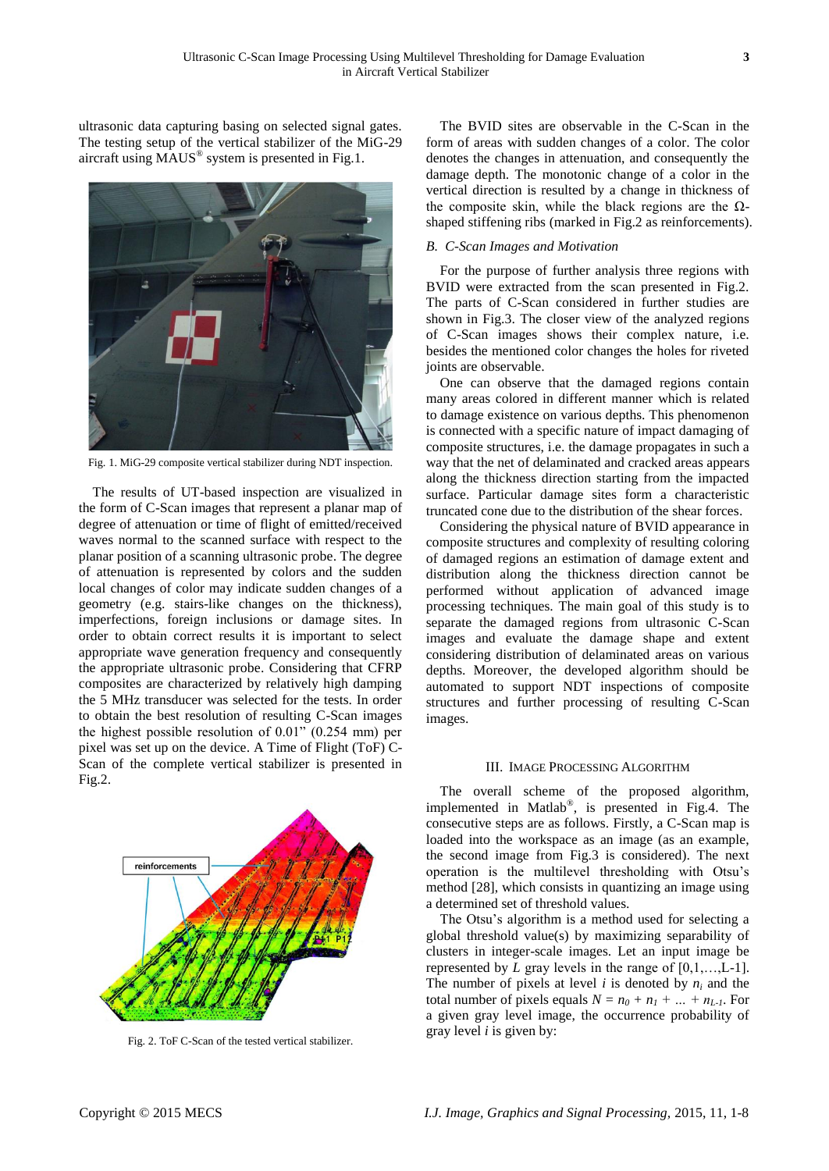ultrasonic data capturing basing on selected signal gates. The testing setup of the vertical stabilizer of the MiG-29 aircraft using MAUS® system is presented in Fig.1.



Fig. 1. MiG-29 composite vertical stabilizer during NDT inspection.

The results of UT-based inspection are visualized in the form of C-Scan images that represent a planar map of degree of attenuation or time of flight of emitted/received waves normal to the scanned surface with respect to the planar position of a scanning ultrasonic probe. The degree of attenuation is represented by colors and the sudden local changes of color may indicate sudden changes of a geometry (e.g. stairs-like changes on the thickness), imperfections, foreign inclusions or damage sites. In order to obtain correct results it is important to select appropriate wave generation frequency and consequently the appropriate ultrasonic probe. Considering that CFRP composites are characterized by relatively high damping the 5 MHz transducer was selected for the tests. In order to obtain the best resolution of resulting C-Scan images the highest possible resolution of 0.01" (0.254 mm) per pixel was set up on the device. A Time of Flight (ToF) C-Scan of the complete vertical stabilizer is presented in Fig.2.



Fig. 2. ToF C-Scan of the tested vertical stabilizer.

The BVID sites are observable in the C-Scan in the form of areas with sudden changes of a color. The color denotes the changes in attenuation, and consequently the damage depth. The monotonic change of a color in the vertical direction is resulted by a change in thickness of the composite skin, while the black regions are the Ωshaped stiffening ribs (marked in Fig.2 as reinforcements).

### *B. C-Scan Images and Motivation*

For the purpose of further analysis three regions with BVID were extracted from the scan presented in Fig.2. The parts of C-Scan considered in further studies are shown in Fig.3. The closer view of the analyzed regions of C-Scan images shows their complex nature, i.e. besides the mentioned color changes the holes for riveted joints are observable.

One can observe that the damaged regions contain many areas colored in different manner which is related to damage existence on various depths. This phenomenon is connected with a specific nature of impact damaging of composite structures, i.e. the damage propagates in such a way that the net of delaminated and cracked areas appears along the thickness direction starting from the impacted surface. Particular damage sites form a characteristic truncated cone due to the distribution of the shear forces.

Considering the physical nature of BVID appearance in composite structures and complexity of resulting coloring of damaged regions an estimation of damage extent and distribution along the thickness direction cannot be performed without application of advanced image processing techniques. The main goal of this study is to separate the damaged regions from ultrasonic C-Scan images and evaluate the damage shape and extent considering distribution of delaminated areas on various depths. Moreover, the developed algorithm should be automated to support NDT inspections of composite structures and further processing of resulting C-Scan images.

## III. IMAGE PROCESSING ALGORITHM

The overall scheme of the proposed algorithm, implemented in Matlab® , is presented in Fig.4. The consecutive steps are as follows. Firstly, a C-Scan map is loaded into the workspace as an image (as an example, the second image from Fig.3 is considered). The next operation is the multilevel thresholding with Otsu's method [28], which consists in quantizing an image using a determined set of threshold values.

The Otsu's algorithm is a method used for selecting a global threshold value(s) by maximizing separability of clusters in integer-scale images. Let an input image be represented by *L* gray levels in the range of [0,1,…,L-1]. The number of pixels at level *i* is denoted by *n<sup>i</sup>* and the total number of pixels equals  $N = n_0 + n_1 + ... + n_{L-1}$ . For a given gray level image, the occurrence probability of gray level *i* is given by: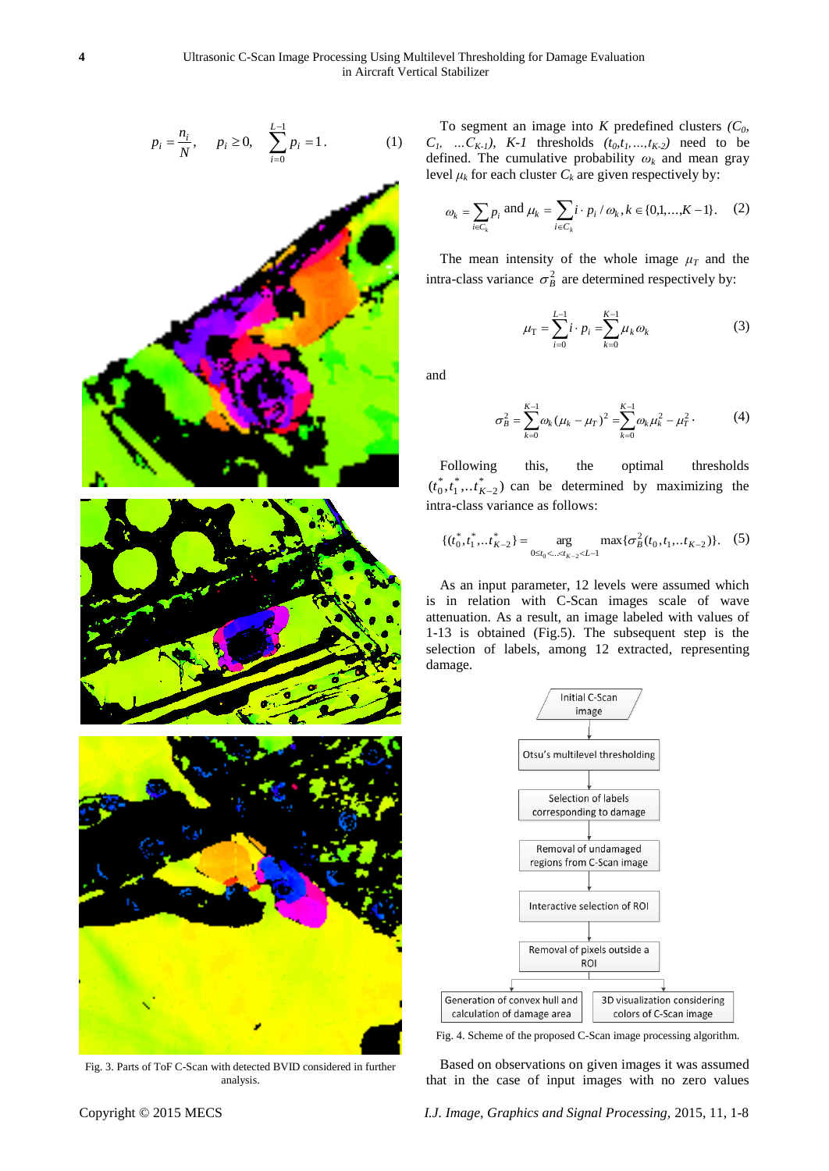$$
p_i = \frac{n_i}{N}, \quad p_i \ge 0, \quad \sum_{i=0}^{L-1} p_i = 1. \tag{1}
$$



Fig. 3. Parts of ToF C-Scan with detected BVID considered in further analysis.

To segment an image into *K* predefined clusters  $(C_0, C_1)$  $C_1$ , ...  $C_{K-1}$ *)*,  $K-1$  thresholds  $(t_0, t_1, ..., t_{K-2})$  need to be defined. The cumulative probability *ω<sup>k</sup>* and mean gray level  $\mu_k$  for each cluster  $C_k$  are given respectively by:

$$
\omega_k = \sum_{i \in C_k} p_i \text{ and } \mu_k = \sum_{i \in C_k} i \cdot p_i / \omega_k, k \in \{0, 1, ..., K - 1\}.
$$
 (2)

The mean intensity of the whole image  $\mu_T$  and the intra-class variance  $\sigma_B^2$  are determined respectively by:

$$
\mu_{\rm T} = \sum_{i=0}^{L-1} i \cdot p_i = \sum_{k=0}^{K-1} \mu_k \omega_k \tag{3}
$$

and

$$
\sigma_B^2 = \sum_{k=0}^{K-1} \omega_k (\mu_k - \mu_T)^2 = \sum_{k=0}^{K-1} \omega_k \mu_k^2 - \mu_T^2.
$$
 (4)

Following this, the optimal thresholds  $(t_0^*, t_1^*, \dots t_{K-2}^*)$  can be determined by maximizing the intra-class variance as follows:

$$
\{(t_0^*, t_1^*, \ldots, t_{K-2}^*) = \underset{0 \le t_0 < \ldots < t_{K-2} < L-1}{\arg} \max \{\sigma_B^2(t_0, t_1, \ldots, t_{K-2})\}.\tag{5}
$$

As an input parameter, 12 levels were assumed which is in relation with C-Scan images scale of wave attenuation. As a result, an image labeled with values of 1-13 is obtained (Fig.5). The subsequent step is the selection of labels, among 12 extracted, representing damage.



Fig. 4. Scheme of the proposed C-Scan image processing algorithm.

Based on observations on given images it was assumed that in the case of input images with no zero values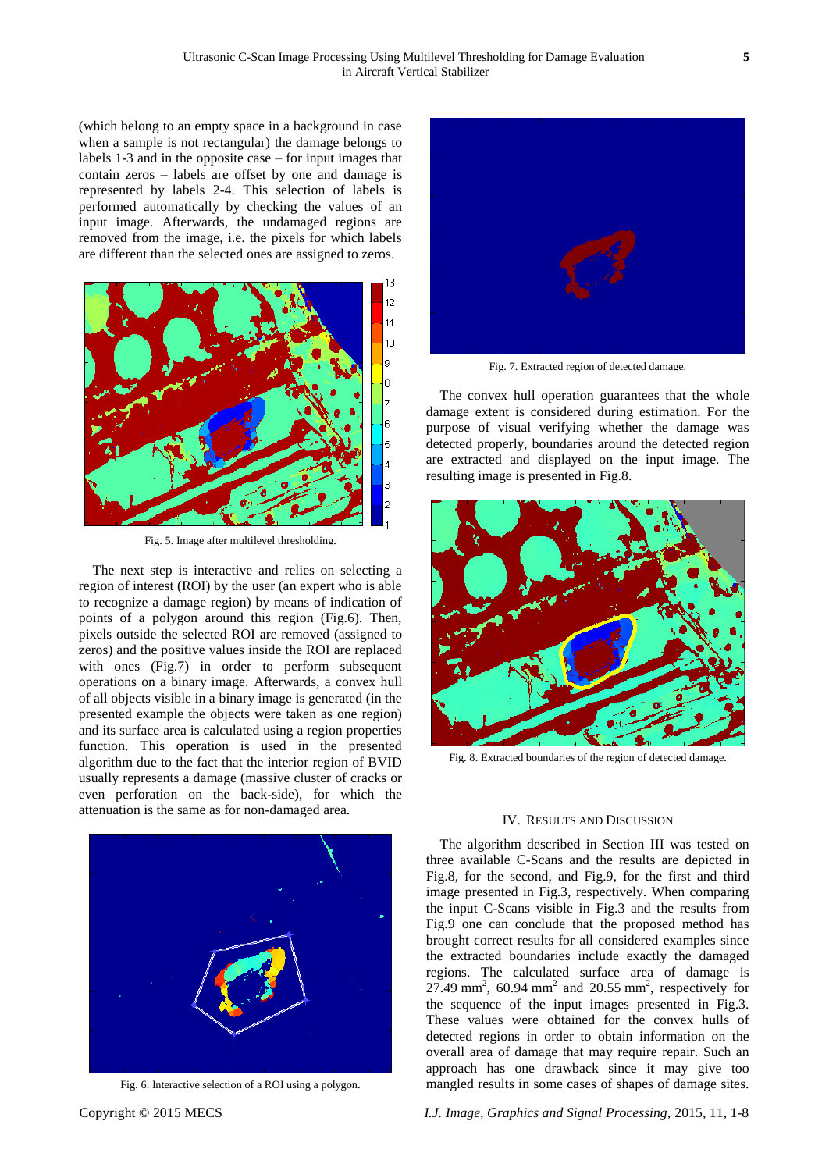(which belong to an empty space in a background in case when a sample is not rectangular) the damage belongs to labels 1-3 and in the opposite case – for input images that contain zeros – labels are offset by one and damage is represented by labels 2-4. This selection of labels is performed automatically by checking the values of an input image. Afterwards, the undamaged regions are removed from the image, i.e. the pixels for which labels are different than the selected ones are assigned to zeros.



Fig. 5. Image after multilevel thresholding.

The next step is interactive and relies on selecting a region of interest (ROI) by the user (an expert who is able to recognize a damage region) by means of indication of points of a polygon around this region (Fig.6). Then, pixels outside the selected ROI are removed (assigned to zeros) and the positive values inside the ROI are replaced with ones (Fig.7) in order to perform subsequent operations on a binary image. Afterwards, a convex hull of all objects visible in a binary image is generated (in the presented example the objects were taken as one region) and its surface area is calculated using a region properties function. This operation is used in the presented algorithm due to the fact that the interior region of BVID usually represents a damage (massive cluster of cracks or even perforation on the back-side), for which the attenuation is the same as for non-damaged area.



Fig. 6. Interactive selection of a ROI using a polygon.



Fig. 7. Extracted region of detected damage.

The convex hull operation guarantees that the whole damage extent is considered during estimation. For the purpose of visual verifying whether the damage was detected properly, boundaries around the detected region are extracted and displayed on the input image. The resulting image is presented in Fig.8.



Fig. 8. Extracted boundaries of the region of detected damage.

#### IV. RESULTS AND DISCUSSION

The algorithm described in Section III was tested on three available C-Scans and the results are depicted in Fig.8, for the second, and Fig.9, for the first and third image presented in Fig.3, respectively. When comparing the input C-Scans visible in Fig.3 and the results from Fig.9 one can conclude that the proposed method has brought correct results for all considered examples since the extracted boundaries include exactly the damaged regions. The calculated surface area of damage is  $27.49$  mm<sup>2</sup>, 60.94 mm<sup>2</sup> and 20.55 mm<sup>2</sup>, respectively for the sequence of the input images presented in Fig.3. These values were obtained for the convex hulls of detected regions in order to obtain information on the overall area of damage that may require repair. Such an approach has one drawback since it may give too mangled results in some cases of shapes of damage sites.

Copyright © 2015 MECS *I.J. Image, Graphics and Signal Processing,* 2015, 11, 1-8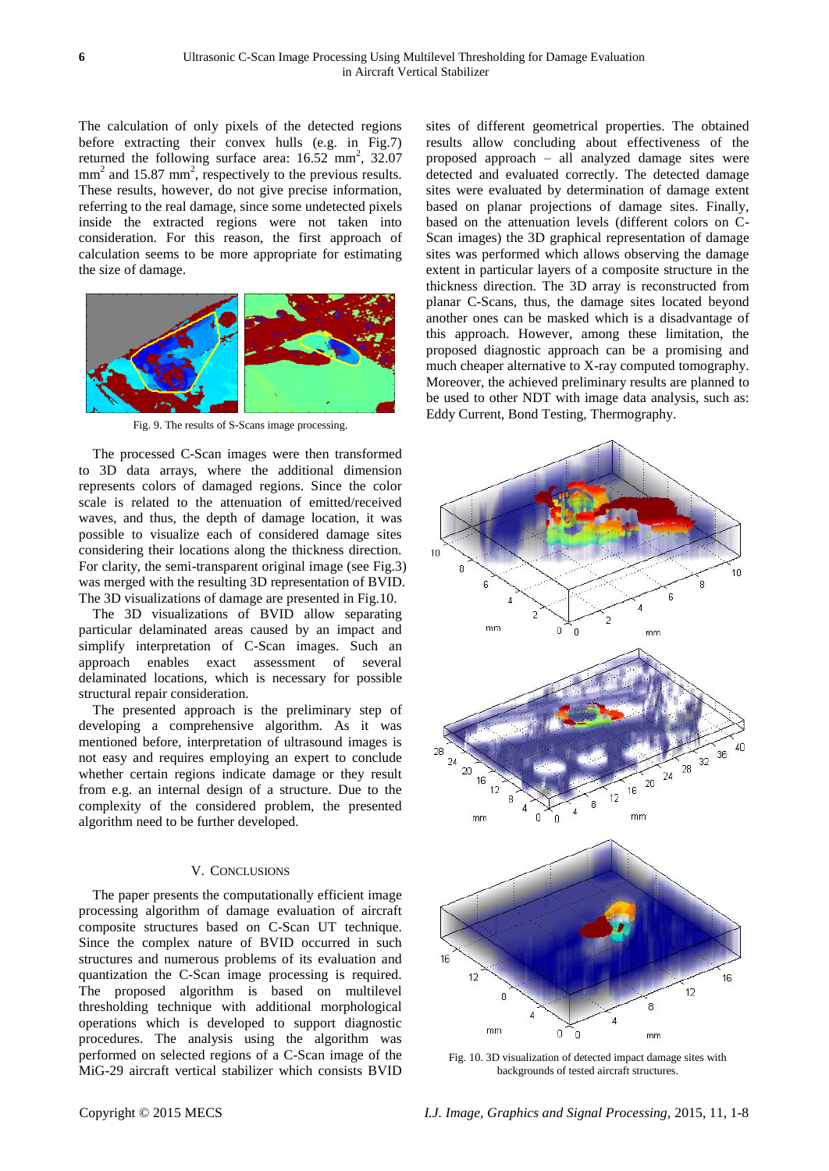The calculation of only pixels of the detected regions before extracting their convex hulls (e.g. in Fig.7) returned the following surface area:  $16.52 \text{ mm}^2$ ,  $32.07$  $mm<sup>2</sup>$  and 15.87 mm<sup>2</sup>, respectively to the previous results. These results, however, do not give precise information, referring to the real damage, since some undetected pixels inside the extracted regions were not taken into consideration. For this reason, the first approach of calculation seems to be more appropriate for estimating the size of damage.



Fig. 9. The results of S-Scans image processing.

The processed C-Scan images were then transformed to 3D data arrays, where the additional dimension represents colors of damaged regions. Since the color scale is related to the attenuation of emitted/received waves, and thus, the depth of damage location, it was possible to visualize each of considered damage sites considering their locations along the thickness direction. For clarity, the semi-transparent original image (see Fig.3) was merged with the resulting 3D representation of BVID. The 3D visualizations of damage are presented in Fig.10.

The 3D visualizations of BVID allow separating particular delaminated areas caused by an impact and simplify interpretation of C-Scan images. Such an approach enables exact assessment of several delaminated locations, which is necessary for possible structural repair consideration.

The presented approach is the preliminary step of developing a comprehensive algorithm. As it was mentioned before, interpretation of ultrasound images is not easy and requires employing an expert to conclude whether certain regions indicate damage or they result from e.g. an internal design of a structure. Due to the complexity of the considered problem, the presented algorithm need to be further developed.

#### V. CONCLUSIONS

The paper presents the computationally efficient image processing algorithm of damage evaluation of aircraft composite structures based on C-Scan UT technique. Since the complex nature of BVID occurred in such structures and numerous problems of its evaluation and quantization the C-Scan image processing is required. The proposed algorithm is based on multilevel thresholding technique with additional morphological operations which is developed to support diagnostic procedures. The analysis using the algorithm was performed on selected regions of a C-Scan image of the MiG-29 aircraft vertical stabilizer which consists BVID

sites of different geometrical properties. The obtained results allow concluding about effectiveness of the proposed approach – all analyzed damage sites were detected and evaluated correctly. The detected damage sites were evaluated by determination of damage extent based on planar projections of damage sites. Finally, based on the attenuation levels (different colors on C-Scan images) the 3D graphical representation of damage sites was performed which allows observing the damage extent in particular layers of a composite structure in the thickness direction. The 3D array is reconstructed from planar C-Scans, thus, the damage sites located beyond another ones can be masked which is a disadvantage of this approach. However, among these limitation, the proposed diagnostic approach can be a promising and much cheaper alternative to X-ray computed tomography. Moreover, the achieved preliminary results are planned to be used to other NDT with image data analysis, such as: Eddy Current, Bond Testing, Thermography.



Fig. 10. 3D visualization of detected impact damage sites with backgrounds of tested aircraft structures.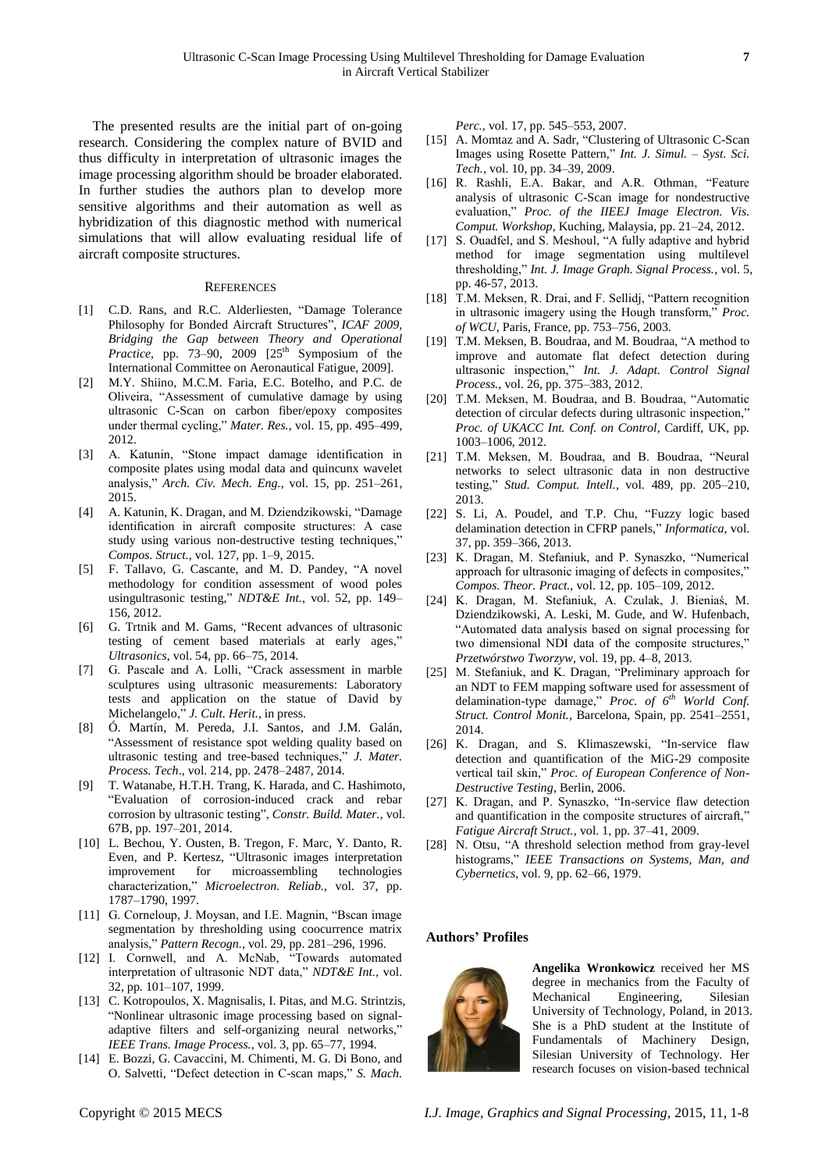The presented results are the initial part of on-going research. Considering the complex nature of BVID and thus difficulty in interpretation of ultrasonic images the image processing algorithm should be broader elaborated. In further studies the authors plan to develop more sensitive algorithms and their automation as well as hybridization of this diagnostic method with numerical simulations that will allow evaluating residual life of aircraft composite structures.

#### **REFERENCES**

- [1] C.D. Rans, and R.C. Alderliesten, "Damage Tolerance Philosophy for Bonded Aircraft Structures", *ICAF 2009, Bridging the Gap between Theory and Operational Practice*, pp. 73–90, 2009  $[25<sup>th</sup>$  Symposium of the International Committee on Aeronautical Fatigue, 2009].
- [2] M.Y. Shiino, M.C.M. Faria, E.C. Botelho, and P.C. de Oliveira, "Assessment of cumulative damage by using ultrasonic C-Scan on carbon fiber/epoxy composites under thermal cycling," *Mater. Res.*, vol. 15, pp. 495–499, 2012.
- [3] A. Katunin, "Stone impact damage identification in composite plates using modal data and quincunx wavelet analysis," *Arch. Civ. Mech. Eng.*, vol. 15, pp. 251–261, 2015.
- [4] A. Katunin, K. Dragan, and M. Dziendzikowski, "Damage identification in aircraft composite structures: A case study using various non-destructive testing techniques," *Compos. Struct.*, vol. 127, pp. 1–9, 2015.
- [5] F. Tallavo, G. Cascante, and M. D. Pandey, "A novel methodology for condition assessment of wood poles usingultrasonic testing," *NDT&E Int.*, vol. 52, pp. 149– 156, 2012.
- [6] G. Trtnik and M. Gams, "Recent advances of ultrasonic testing of cement based materials at early ages," *Ultrasonics*, vol. 54, pp. 66–75, 2014.
- [7] G. Pascale and A. Lolli, "Crack assessment in marble sculptures using ultrasonic measurements: Laboratory tests and application on the statue of David by Michelangelo," *J. Cult. Herit.*, in press.
- [8] Ó. Mart n, M. Pereda, J.I. Santos, and J.M. Galán, "Assessment of resistance spot welding quality based on ultrasonic testing and tree-based techniques," *J. Mater. Process. Tech*., vol. 214, pp. 2478–2487, 2014.
- [9] T. Watanabe, H.T.H. Trang, K. Harada, and C. Hashimoto, "Evaluation of corrosion-induced crack and rebar corrosion by ultrasonic testing", *Constr. Build. Mater.*, vol. 67B, pp. 197–201, 2014.
- [10] L. Bechou, Y. Ousten, B. Tregon, F. Marc, Y. Danto, R. Even, and P. Kertesz, "Ultrasonic images interpretation improvement for microassembling technologies characterization," *Microelectron. Reliab.*, vol. 37, pp. 1787–1790, 1997.
- [11] G. Corneloup, J. Moysan, and I.E. Magnin, "Bscan image segmentation by thresholding using coocurrence matrix analysis," *Pattern Recogn.*, vol. 29, pp. 281–296, 1996.
- [12] I. Cornwell, and A. McNab, "Towards automated interpretation of ultrasonic NDT data," *NDT&E Int.*, vol. 32, pp. 101–107, 1999.
- [13] C. Kotropoulos, X. Magnisalis, I. Pitas, and M.G. Strintzis, "Nonlinear ultrasonic image processing based on signaladaptive filters and self-organizing neural networks," *IEEE Trans. Image Process.*, vol. 3, pp. 65–77, 1994.
- [14] E. Bozzi, G. Cavaccini, M. Chimenti, M. G. Di Bono, and O. Salvetti, "Defect detection in C-scan maps," *S. Mach.*

*Perc.*, vol. 17, pp. 545–553, 2007.

- [15] A. Momtaz and A. Sadr, "Clustering of Ultrasonic C-Scan Images using Rosette Pattern," *Int. J. Simul. – Syst. Sci. Tech.*, vol. 10, pp. 34–39, 2009.
- [16] R. Rashli, E.A. Bakar, and A.R. Othman, "Feature analysis of ultrasonic C-Scan image for nondestructive evaluation," *Proc. of the IIEEJ Image Electron. Vis. Comput. Workshop*, Kuching, Malaysia, pp. 21–24, 2012.
- [17] S. Ouadfel, and S. Meshoul, "A fully adaptive and hybrid method for image segmentation using multilevel thresholding," *Int. J. Image Graph. Signal Process.*, vol. 5, pp. 46-57, 2013.
- [18] T.M. Meksen, R. Drai, and F. Sellidj, "Pattern recognition in ultrasonic imagery using the Hough transform," *Proc. of WCU*, Paris, France, pp. 753–756, 2003.
- [19] T.M. Meksen, B. Boudraa, and M. Boudraa, "A method to improve and automate flat defect detection during ultrasonic inspection," *Int. J. Adapt. Control Signal Process.*, vol. 26, pp. 375–383, 2012.
- [20] T.M. Meksen, M. Boudraa, and B. Boudraa, "Automatic detection of circular defects during ultrasonic inspection," *Proc. of UKACC Int. Conf. on Control*, Cardiff, UK, pp. 1003–1006, 2012.
- [21] T.M. Meksen, M. Boudraa, and B. Boudraa, "Neural networks to select ultrasonic data in non destructive testing," *Stud. Comput. Intell.*, vol. 489, pp. 205–210, 2013.
- [22] S. Li, A. Poudel, and T.P. Chu, "Fuzzy logic based delamination detection in CFRP panels," *Informatica*, vol. 37, pp. 359–366, 2013.
- [23] K. Dragan, M. Stefaniuk, and P. Synaszko, "Numerical approach for ultrasonic imaging of defects in composites," *Compos. Theor. Pract.*, vol. 12, pp. 105–109, 2012.
- [24] K. Dragan, M. Stefaniuk, A. Czulak, J. Bieniaś, M. Dziendzikowski, A. Leski, M. Gude, and W. Hufenbach, "Automated data analysis based on signal processing for two dimensional NDI data of the composite structures," *Przetwórstwo Tworzyw*, vol. 19, pp. 4–8, 2013.
- [25] M. Stefaniuk, and K. Dragan, "Preliminary approach for an NDT to FEM mapping software used for assessment of delamination-type damage," *Proc. of 6th World Conf. Struct. Control Monit.*, Barcelona, Spain, pp. 2541–2551, 2014.
- [26] K. Dragan, and S. Klimaszewski, "In-service flaw detection and quantification of the MiG-29 composite vertical tail skin," *Proc. of European Conference of Non-Destructive Testing*, Berlin, 2006.
- [27] K. Dragan, and P. Synaszko, "In-service flaw detection and quantification in the composite structures of aircraft," *Fatigue Aircraft Struct.*, vol. 1, pp. 37–41, 2009.
- [28] N. Otsu, "A threshold selection method from gray-level histograms," *IEEE Transactions on Systems, Man, and Cybernetics*, vol. 9, pp. 62–66, 1979.

#### **Authors' Profiles**



**Angelika Wronkowicz** received her MS degree in mechanics from the Faculty of Mechanical Engineering, Silesian University of Technology, Poland, in 2013. She is a PhD student at the Institute of Fundamentals of Machinery Design, Silesian University of Technology. Her research focuses on vision-based technical